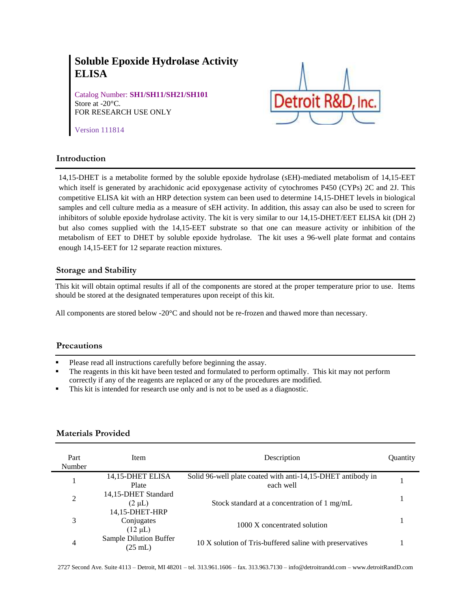# **Soluble Epoxide Hydrolase Activity ELISA**

Catalog Number: **SH1/SH11/SH21/SH101** Store at -20°C. FOR RESEARCH USE ONLY



Version 111814

## **Introduction**

14,15-DHET is a metabolite formed by the soluble epoxide hydrolase (sEH)-mediated metabolism of 14,15-EET which itself is generated by arachidonic acid epoxygenase activity of cytochromes P450 (CYPs) 2C and 2J. This competitive ELISA kit with an HRP detection system can been used to determine 14,15-DHET levels in biological samples and cell culture media as a measure of sEH activity. In addition, this assay can also be used to screen for inhibitors of soluble epoxide hydrolase activity. The kit is very similar to our 14,15-DHET/EET ELISA kit (DH 2) but also comes supplied with the 14,15-EET substrate so that one can measure activity or inhibition of the metabolism of EET to DHET by soluble epoxide hydrolase. The kit uses a 96-well plate format and contains enough 14,15-EET for 12 separate reaction mixtures.

## **Storage and Stability**

This kit will obtain optimal results if all of the components are stored at the proper temperature prior to use. Items should be stored at the designated temperatures upon receipt of this kit.

All components are stored below -20°C and should not be re-frozen and thawed more than necessary.

## **Precautions**

- Please read all instructions carefully before beginning the assay.
- The reagents in this kit have been tested and formulated to perform optimally. This kit may not perform correctly if any of the reagents are replaced or any of the procedures are modified.
- This kit is intended for research use only and is not to be used as a diagnostic.

## **Materials Provided**

| Part<br>Number | <b>Item</b>                                          | Description                                                              | Quantity |
|----------------|------------------------------------------------------|--------------------------------------------------------------------------|----------|
|                | 14,15-DHET ELISA<br>Plate                            | Solid 96-well plate coated with anti-14,15-DHET antibody in<br>each well |          |
| $\overline{2}$ | 14,15-DHET Standard<br>$(2 \mu L)$<br>14,15-DHET-HRP | Stock standard at a concentration of 1 mg/mL                             |          |
| 3              | Conjugates<br>$(12 \mu L)$                           | 1000 X concentrated solution                                             |          |
| 4              | Sample Dilution Buffer<br>$(25 \text{ mL})$          | 10 X solution of Tris-buffered saline with preservatives                 |          |

2727 Second Ave. Suite 4113 – Detroit, MI 48201 – tel. 313.961.1606 – fax. 313.963.7130 – info@detroitrandd.com – www.detroitRandD.com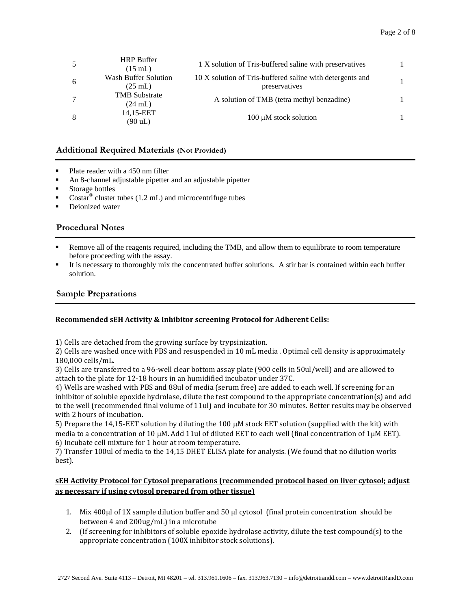| 5              | <b>HRP</b> Buffer<br>$(15 \text{ mL})$    | 1 X solution of Tris-buffered saline with preservatives                    |  |
|----------------|-------------------------------------------|----------------------------------------------------------------------------|--|
| 6              | Wash Buffer Solution<br>$(25 \text{ mL})$ | 10 X solution of Tris-buffered saline with detergents and<br>preservatives |  |
| $\overline{7}$ | <b>TMB</b> Substrate<br>$(24 \text{ mL})$ | A solution of TMB (tetra methyl benzadine)                                 |  |
| 8              | 14,15-EET<br>(90 uL)                      | 100 $\mu$ M stock solution                                                 |  |

#### **Additional Required Materials (Not Provided)**  $\overline{\phantom{a}}$

- Plate reader with a 450 nm filter
- An 8-channel adjustable pipetter and an adjustable pipetter
- Storage bottles
- Costar<sup>®</sup> cluster tubes (1.2 mL) and microcentrifuge tubes
- Deionized water

## **Procedural Notes**

- Remove all of the reagents required, including the TMB, and allow them to equilibrate to room temperature before proceeding with the assay.
- It is necessary to thoroughly mix the concentrated buffer solutions. A stir bar is contained within each buffer solution.

## **Sample Preparations**

## **Recommended sEH Activity & Inhibitor screening Protocol for Adherent Cells:**

1) Cells are detached from the growing surface by trypsinization.

2) Cells are washed once with PBS and resuspended in 10 mL media . Optimal cell density is approximately 180,000 cells/mL.

3) Cells are transferred to a 96-well clear bottom assay plate (900 cells in 50ul/well) and are allowed to attach to the plate for 12-18 hours in an humidified incubator under 37C.

4) Wells are washed with PBS and 88ul of media (serum free) are added to each well. If screening for an inhibitor of soluble epoxide hydrolase, dilute the test compound to the appropriate concentration(s) and add to the well (recommended final volume of 11ul) and incubate for 30 minutes. Better results may be observed with 2 hours of incubation.

5) Prepare the 14,15-EET solution by diluting the 100  $\mu$ M stock EET solution (supplied with the kit) with media to a concentration of 10  $\mu$ M. Add 11ul of diluted EET to each well (final concentration of 1 $\mu$ M EET). 6) Incubate cell mixture for 1 hour at room temperature.

7) Transfer 100ul of media to the 14,15 DHET ELISA plate for analysis. (We found that no dilution works best).

## **sEH Activity Protocol for Cytosol preparations (recommended protocol based on liver cytosol; adjust as necessary if using cytosol prepared from other tissue)**

- 1. Mix 400 $\mu$ l of 1X sample dilution buffer and 50  $\mu$ l cytosol (final protein concentration should be between 4 and 200ug/mL) in a microtube
- 2. (If screening for inhibitors of soluble epoxide hydrolase activity, dilute the test compound(s) to the appropriate concentration (100X inhibitor stock solutions).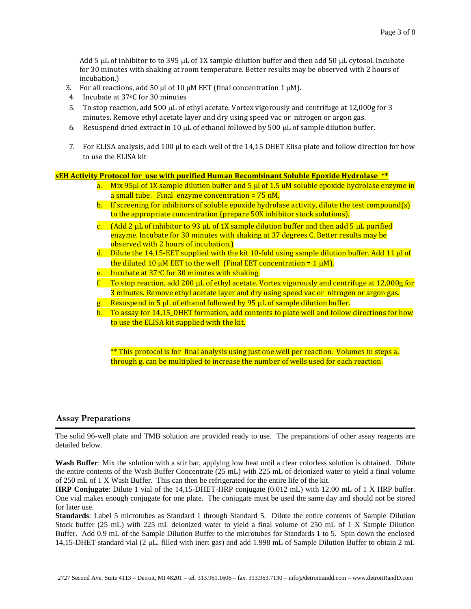Add 5  $\mu$ L of inhibitor to to 395  $\mu$ L of 1X sample dilution buffer and then add 50  $\mu$ L cytosol. Incubate for 30 minutes with shaking at room temperature. Better results may be observed with 2 hours of incubation.)

- 3. For all reactions, add 50  $\mu$ l of 10  $\mu$ M EET (final concentration 1  $\mu$ M).
- 4. Incubate at 37°C for 30 minutes
- 5. To stop reaction, add 500  $\mu$ L of ethyl acetate. Vortex vigorously and centrifuge at 12,000g for 3 minutes. Remove ethyl acetate layer and dry using speed vac or nitrogen or argon gas.
- 6. Resuspend dried extract in 10  $\mu$ L of ethanol followed by 500  $\mu$ L of sample dilution buffer.
- 7. For ELISA analysis, add 100 µl to each well of the 14,15 DHET Elisa plate and follow direction for how to use the ELISA kit

#### **sEH Activity Protocol for use with purified Human Recombinant Soluble Epoxide Hydrolase \*\***

- a. Mix 95 $\mu$ l of 1X sample dilution buffer and 5  $\mu$ l of 1.5 uM soluble epoxide hydrolase enzyme in a small tube. Final enzyme concentration =  $75$  nM.
- b. If screening for inhibitors of soluble epoxide hydrolase activity, dilute the test compound(s) to the appropriate concentration (prepare 50X inhibitor stock solutions).
- c. (Add 2  $\mu$ L of inhibitor to 93  $\mu$ L of 1X sample dilution buffer and then add 5  $\mu$ L purified enzyme. Incubate for 30 minutes with shaking at 37 degrees C. Better results may be observed with 2 hours of incubation.)
- d. Dilute the 14,15-EET supplied with the kit 10-fold using sample dilution buffer. Add 11 µl of the diluted 10  $\mu$ M EET to the well (Final EET concentration = 1  $\mu$ M).
- e. Incubate at  $37^{\circ}$ C for 30 minutes with shaking.
- $f.$  To stop reaction, add 200 µL of ethyl acetate. Vortex vigorously and centrifuge at 12,000g for 3 minutes. Remove ethyl acetate layer and dry using speed vac or nitrogen or argon gas.
- g. Resuspend in 5  $\mu$ L of ethanol followed by 95  $\mu$ L of sample dilution buffer.
- h. To assay for 14,15\_DHET formation, add contents to plate well and follow directions for how to use the ELISA kit supplied with the kit.

\*\* This protocol is for final analysis using just one well per reaction. Volumes in steps a. through g. can be multiplied to increase the number of wells used for each reaction.

## **Assay Preparations**

The solid 96-well plate and TMB solution are provided ready to use. The preparations of other assay reagents are detailed below.

**Wash Buffer**: Mix the solution with a stir bar, applying low heat until a clear colorless solution is obtained. Dilute the entire contents of the Wash Buffer Concentrate (25 mL) with 225 mL of deionized water to yield a final volume of 250 mL of 1 X Wash Buffer. This can then be refrigerated for the entire life of the kit.

**HRP Conjugate**: Dilute 1 vial of the 14,15-DHET-HRP conjugate (0.012 mL) with 12.00 mL of 1 X HRP buffer. One vial makes enough conjugate for one plate. The conjugate must be used the same day and should not be stored for later use.

**Standards**: Label 5 microtubes as Standard 1 through Standard 5. Dilute the entire contents of Sample Dilution Stock buffer (25 mL) with 225 mL deionized water to yield a final volume of 250 mL of 1 X Sample Dilution Buffer. Add 0.9 mL of the Sample Dilution Buffer to the microtubes for Standards 1 to 5. Spin down the enclosed 14,15-DHET standard vial (2 μL, filled with inert gas) and add 1.998 mL of Sample Dilution Buffer to obtain 2 mL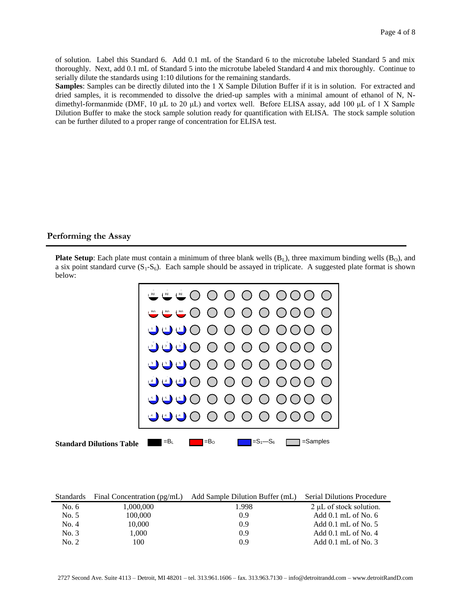of solution. Label this Standard 6. Add 0.1 mL of the Standard 6 to the microtube labeled Standard 5 and mix thoroughly. Next, add 0.1 mL of Standard 5 into the microtube labeled Standard 4 and mix thoroughly. Continue to serially dilute the standards using 1:10 dilutions for the remaining standards.

**Samples**: Samples can be directly diluted into the 1 X Sample Dilution Buffer if it is in solution. For extracted and dried samples, it is recommended to dissolve the dried-up samples with a minimal amount of ethanol of N, Ndimethyl-formanmide (DMF, 10 μL to 20 μL) and vortex well. Before ELISA assay, add 100 μL of 1 X Sample Dilution Buffer to make the stock sample solution ready for quantification with ELISA. The stock sample solution can be further diluted to a proper range of concentration for ELISA test.

## **Performing the Assay**

**Plate Setup**: Each plate must contain a minimum of three blank wells  $(B_1)$ , three maximum binding wells  $(B_0)$ , and a six point standard curve  $(S_1-S_6)$ . Each sample should be assayed in triplicate. A suggested plate format is shown below:



| <b>Standards</b> | Final Concentration (pg/mL) | Add Sample Dilution Buffer (mL) | <b>Serial Dilutions Procedure</b> |
|------------------|-----------------------------|---------------------------------|-----------------------------------|
| No. $6$          | 1,000,000                   | 1.998                           | $2 \mu L$ of stock solution.      |
| No. 5            | 100,000                     | 0.9                             | Add $0.1$ mL of No. $6$           |
| No. 4            | 10.000                      | 0.9                             | Add $0.1$ mL of No. 5             |
| No. 3            | 1.000                       | 0.9                             | Add $0.1$ mL of No. 4             |
| No. 2            | 100                         | 0.9                             | Add $0.1$ mL of No. 3             |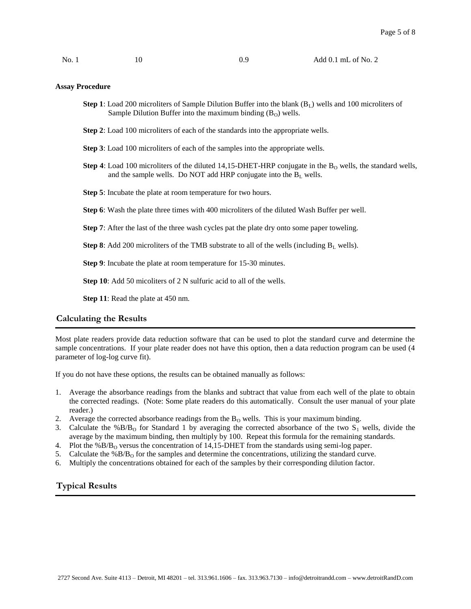No. 1 10 0.9 Add 0.1 mL of No. 2

#### **Assay Procedure**

- **Step 1**: Load 200 microliters of Sample Dilution Buffer into the blank  $(B<sub>L</sub>)$  wells and 100 microliters of Sample Dilution Buffer into the maximum binding  $(B<sub>O</sub>)$  wells.
- **Step 2**: Load 100 microliters of each of the standards into the appropriate wells.

**Step 3**: Load 100 microliters of each of the samples into the appropriate wells.

- **Step 4**: Load 100 microliters of the diluted 14,15-DHET-HRP conjugate in the  $B<sub>0</sub>$  wells, the standard wells, and the sample wells. Do NOT add HRP conjugate into the B<sub>L</sub> wells.
- **Step 5**: Incubate the plate at room temperature for two hours.
- **Step 6**: Wash the plate three times with 400 microliters of the diluted Wash Buffer per well.
- **Step 7**: After the last of the three wash cycles pat the plate dry onto some paper toweling.

**Step 8**: Add 200 microliters of the TMB substrate to all of the wells (including  $B_L$  wells).

**Step 9**: Incubate the plate at room temperature for 15-30 minutes.

**Step 10**: Add 50 micoliters of 2 N sulfuric acid to all of the wells.

**Step 11**: Read the plate at 450 nm.

## **Calculating the Results**

Most plate readers provide data reduction software that can be used to plot the standard curve and determine the sample concentrations. If your plate reader does not have this option, then a data reduction program can be used (4 parameter of log-log curve fit).

If you do not have these options, the results can be obtained manually as follows:

- 1. Average the absorbance readings from the blanks and subtract that value from each well of the plate to obtain the corrected readings. (Note: Some plate readers do this automatically. Consult the user manual of your plate reader.)
- 2. Average the corrected absorbance readings from the  $B<sub>O</sub>$  wells. This is your maximum binding.
- 3. Calculate the %B/B<sub>O</sub> for Standard 1 by averaging the corrected absorbance of the two  $S_1$  wells, divide the average by the maximum binding, then multiply by 100. Repeat this formula for the remaining standards.
- 4. Plot the %B/B<sub>O</sub> versus the concentration of 14,15-DHET from the standards using semi-log paper.
- 5. Calculate the  $%B/B<sub>O</sub>$  for the samples and determine the concentrations, utilizing the standard curve.
- 6. Multiply the concentrations obtained for each of the samples by their corresponding dilution factor.

## **Typical Results**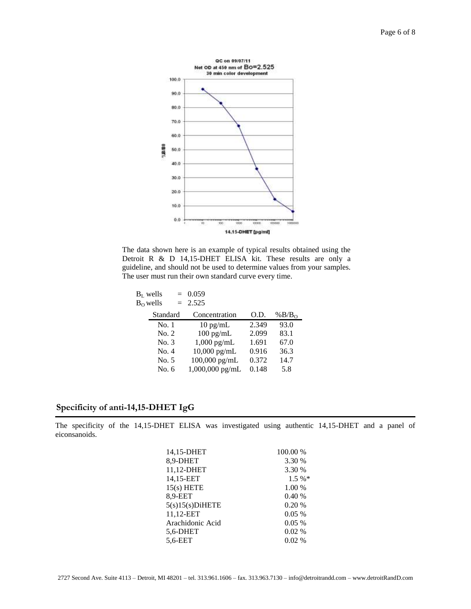

The data shown here is an example of typical results obtained using the Detroit R & D 14,15-DHET ELISA kit. These results are only a guideline, and should not be used to determine values from your samples. The user must run their own standard curve every time.

| $BL$ wells  | $= 0.059$          |       |          |
|-------------|--------------------|-------|----------|
| $B_0$ wells | $= 2.525$          |       |          |
| Standard    | Concentration      | O.D.  | % $B/B0$ |
| No. 1       | $10 \text{ pg/mL}$ | 2.349 | 93.0     |
| No. 2       | $100$ pg/mL        | 2.099 | 83.1     |
| No. 3       | $1,000$ pg/mL      | 1.691 | 67.0     |
| No. 4       | $10,000$ pg/mL     | 0.916 | 36.3     |
| No. 5       | $100,000$ pg/mL    | 0.372 | 14.7     |
| No. 6       | 1,000,000 pg/mL    | 0.148 | 5.8      |
|             |                    |       |          |

# **Specificity of anti-14,15-DHET IgG**

The specificity of the 14,15-DHET ELISA was investigated using authentic 14,15-DHET and a panel of eiconsanoids.

| 14,15-DHET         | 100.00 % |
|--------------------|----------|
| 8,9-DHET           | 3.30 %   |
| 11,12-DHET         | 3.30 %   |
| 14,15-EET          | $1.5 \%$ |
| $15(s)$ HETE       | 1.00 %   |
| 8.9-EET            | 0.40%    |
| $5(s)15(s)$ DiHETE | 0.20%    |
| 11,12-EET          | 0.05%    |
| Arachidonic Acid   | $0.05\%$ |
| 5,6-DHET           | 0.02%    |
| 5.6-EET            | $0.02\%$ |
|                    |          |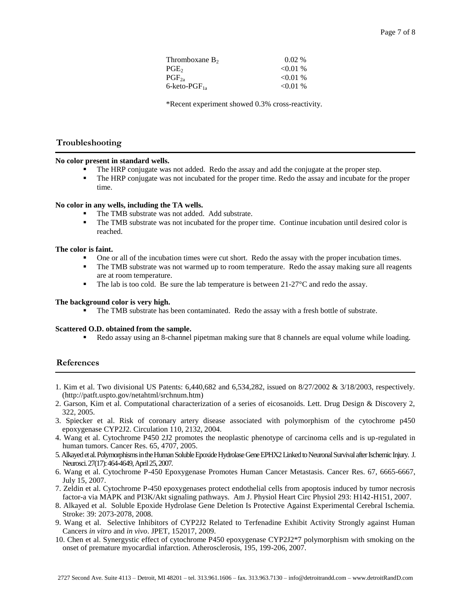| Thromboxane $B_2$  | $0.02\%$ |
|--------------------|----------|
| $\mathrm{PGE}_2$   | < 0.01 % |
| $PGF_{2a}$         | < 0.01 % |
| 6-keto-PGF $_{1a}$ | < 0.01 % |

\*Recent experiment showed 0.3% cross-reactivity.

## **Troubleshooting** l

#### **No color present in standard wells.**

- The HRP conjugate was not added. Redo the assay and add the conjugate at the proper step.
- The HRP conjugate was not incubated for the proper time. Redo the assay and incubate for the proper time.

#### **No color in any wells, including the TA wells.**

- The TMB substrate was not added. Add substrate.
- The TMB substrate was not incubated for the proper time. Continue incubation until desired color is reached.

#### **The color is faint.**

- One or all of the incubation times were cut short. Redo the assay with the proper incubation times.
- The TMB substrate was not warmed up to room temperature. Redo the assay making sure all reagents are at room temperature.
- The lab is too cold. Be sure the lab temperature is between 21-27<sup>o</sup>C and redo the assay.

#### **The background color is very high.**

The TMB substrate has been contaminated. Redo the assay with a fresh bottle of substrate.

#### **Scattered O.D. obtained from the sample.**

Redo assay using an 8-channel pipetman making sure that 8 channels are equal volume while loading.

#### **References**

- 1. Kim et al. Two divisional US Patents: 6,440,682 and 6,534,282, issued on 8/27/2002 & 3/18/2003, respectively. [\(http://patft.uspto.gov/netahtml/srchnum.htm\)](http://patft.uspto.gov/netahtml/srchnum.htm)
- 2. Garson, Kim et al. Computational characterization of a series of eicosanoids. Lett. Drug Design & Discovery 2, 322, 2005.
- 3. Spiecker et al. Risk of coronary artery disease associated with polymorphism of the cytochrome p450 epoxygenase CYP2J2. Circulation 110, 2132, 2004.
- 4. Wang et al. Cytochrome P450 2J2 promotes the neoplastic phenotype of carcinoma cells and is up-regulated in human tumors. Cancer Res. 65, 4707, 2005.
- 5. Alkayed et al. Polymorphisms in the Human Soluble Epoxide Hydrolase Gene EPHX2 Linked to Neuronal Survival after Ischemic Injury. J. Neurosci. 27(17): 464-4649, April 25, 2007.
- 6. Wang et al. Cytochrome P-450 Epoxygenase Promotes Human Cancer Metastasis. Cancer Res. 67, 6665-6667, July 15, 2007.
- 7. Zeldin et al. Cytochrome P-450 epoxygenases protect endothelial cells from apoptosis induced by tumor necrosis factor-a via MAPK and PI3K/Akt signaling pathways. Am J. Physiol Heart Circ Physiol 293: H142-H151, 2007.
- 8. Alkayed et al. Soluble Epoxide Hydrolase Gene Deletion Is Protective Against Experimental Cerebral Ischemia. Stroke: 39: 2073-2078, 2008.
- 9. Wang et al. Selective Inhibitors of CYP2J2 Related to Terfenadine Exhibit Activity Strongly against Human Cancers *in vitro* and *in vivo*. JPET, 152017, 2009.
- 10. Chen et al. Synergystic effect of cytochrome P450 epoxygenase CYP2J2\*7 polymorphism with smoking on the onset of premature myocardial infarction. Atherosclerosis, 195, 199-206, 2007.